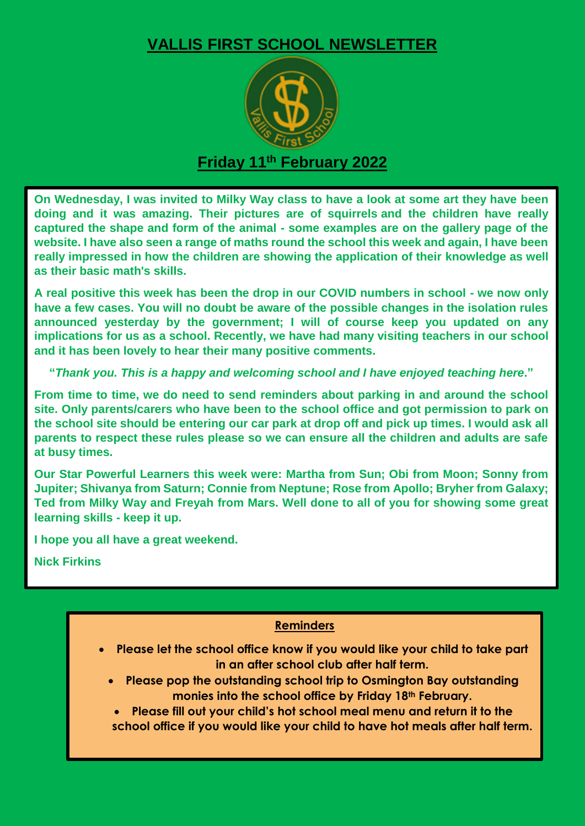## **VALLIS FIRST SCHOOL NEWSLETTER**



## **Friday 11th February 2022**

**On Wednesday, I was invited to Milky Way class to have a look at some art they have been doing and it was amazing. Their pictures are of squirrels and the children have really captured the shape and form of the animal - some examples are on the gallery page of the website. I have also seen a range of maths round the school this week and again, I have been really impressed in how the children are showing the application of their knowledge as well as their basic math's skills.**

**A real positive this week has been the drop in our COVID numbers in school - we now only have a few cases. You will no doubt be aware of the possible changes in the isolation rules announced yesterday by the government; I will of course keep you updated on any implications for us as a school. Recently, we have had many visiting teachers in our school and it has been lovely to hear their many positive comments.** 

**"***Thank you. This is a happy and welcoming school and I have enjoyed teaching here***."**

**From time to time, we do need to send reminders about parking in and around the school site. Only parents/carers who have been to the school office and got permission to park on the school site should be entering our car park at drop off and pick up times. I would ask all parents to respect these rules please so we can ensure all the children and adults are safe at busy times.** 

**Our Star Powerful Learners this week were: Martha from Sun; Obi from Moon; Sonny from Jupiter; Shivanya from Saturn; Connie from Neptune; Rose from Apollo; Bryher from Galaxy; Ted from Milky Way and Freyah from Mars. Well done to all of you for showing some great learning skills - keep it up.**

**I hope you all have a great weekend.**

**Nick Firkins**

#### **Reminders**

- **Please let the school office know if you would like your child to take part in an after school club after half term.**
	- **Please pop the outstanding school trip to Osmington Bay outstanding monies into the school office by Friday 18th February.**

 **Please fill out your child's hot school meal menu and return it to the school office if you would like your child to have hot meals after half term.**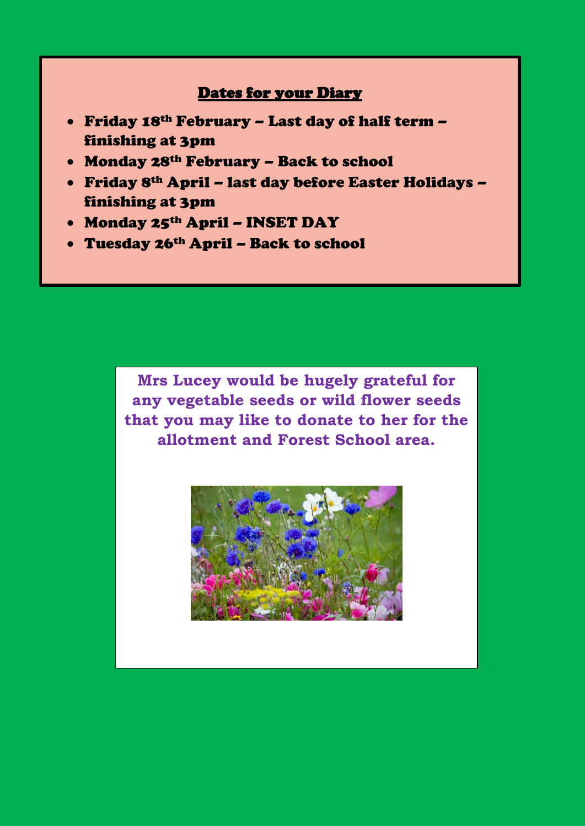### Dates for your Diary

- Friday 18th February Last day of half term finishing at 3pm
- Monday 28th February Back to school
- Friday 8th April last day before Easter Holidays finishing at 3pm

- Monday 25th April INSET DAY
- Tuesday 26th April Back to school

**Mrs Lucey would be hugely grateful for any vegetable seeds or wild flower seeds that you may like to donate to her for the allotment and Forest School area.**